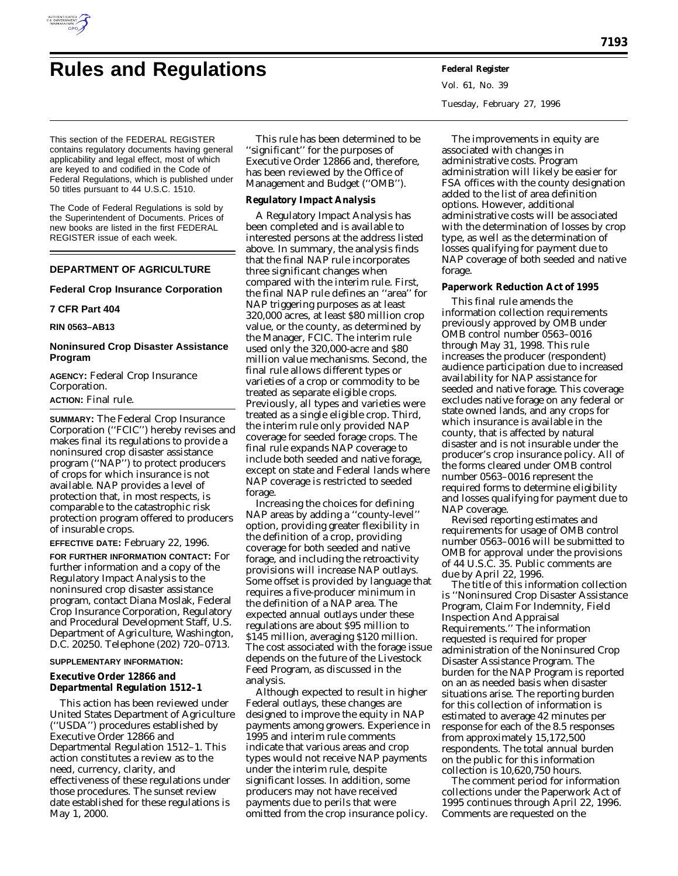

# **Rules and Regulations Federal Register**

This section of the FEDERAL REGISTER contains regulatory documents having general applicability and legal effect, most of which are keyed to and codified in the Code of Federal Regulations, which is published under 50 titles pursuant to 44 U.S.C. 1510.

The Code of Federal Regulations is sold by the Superintendent of Documents. Prices of new books are listed in the first FEDERAL REGISTER issue of each week.

# **DEPARTMENT OF AGRICULTURE**

# **Federal Crop Insurance Corporation**

# **7 CFR Part 404**

**RIN 0563–AB13**

# **Noninsured Crop Disaster Assistance Program**

**AGENCY:** Federal Crop Insurance Corporation. **ACTION:** Final rule.

**SUMMARY:** The Federal Crop Insurance Corporation (''FCIC'') hereby revises and makes final its regulations to provide a noninsured crop disaster assistance program (''NAP'') to protect producers of crops for which insurance is not available. NAP provides a level of protection that, in most respects, is comparable to the catastrophic risk protection program offered to producers of insurable crops.

**EFFECTIVE DATE:** February 22, 1996.

**FOR FURTHER INFORMATION CONTACT:** For further information and a copy of the Regulatory Impact Analysis to the noninsured crop disaster assistance program, contact Diana Moslak, Federal Crop Insurance Corporation, Regulatory and Procedural Development Staff, U.S. Department of Agriculture, Washington, D.C. 20250. Telephone (202) 720–0713.

# **SUPPLEMENTARY INFORMATION:**

**Executive Order 12866 and Departmental Regulation 1512–1**

This action has been reviewed under United States Department of Agriculture (''USDA'') procedures established by Executive Order 12866 and Departmental Regulation 1512–1. This action constitutes a review as to the need, currency, clarity, and effectiveness of these regulations under those procedures. The sunset review date established for these regulations is May 1, 2000.

This rule has been determined to be ''significant'' for the purposes of Executive Order 12866 and, therefore, has been reviewed by the Office of Management and Budget (''OMB'').

**Regulatory Impact Analysis**

A Regulatory Impact Analysis has been completed and is available to interested persons at the address listed above. In summary, the analysis finds that the final NAP rule incorporates three significant changes when compared with the interim rule. First, the final NAP rule defines an ''area'' for NAP triggering purposes as at least 320,000 acres, at least \$80 million crop value, or the county, as determined by the Manager, FCIC. The interim rule used only the 320,000-acre and \$80 million value mechanisms. Second, the final rule allows different types or varieties of a crop or commodity to be treated as separate eligible crops. Previously, all types and varieties were treated as a single eligible crop. Third, the interim rule only provided NAP coverage for seeded forage crops. The final rule expands NAP coverage to include both seeded and native forage, except on state and Federal lands where NAP coverage is restricted to seeded forage.

Increasing the choices for defining NAP areas by adding a ''county-level'' option, providing greater flexibility in the definition of a crop, providing coverage for both seeded and native forage, and including the retroactivity provisions will increase NAP outlays. Some offset is provided by language that requires a five-producer minimum in the definition of a NAP area. The expected annual outlays under these regulations are about \$95 million to \$145 million, averaging \$120 million. The cost associated with the forage issue depends on the future of the Livestock Feed Program, as discussed in the analysis.

Although expected to result in higher Federal outlays, these changes are designed to improve the equity in NAP payments among growers. Experience in 1995 and interim rule comments indicate that various areas and crop types would not receive NAP payments under the interim rule, despite significant losses. In addition, some producers may not have received payments due to perils that were omitted from the crop insurance policy.

Vol. 61, No. 39 Tuesday, February 27, 1996

The improvements in equity are associated with changes in administrative costs. Program administration will likely be easier for FSA offices with the county designation added to the list of area definition options. However, additional administrative costs will be associated with the determination of losses by crop type, as well as the determination of losses qualifying for payment due to NAP coverage of both seeded and native forage.

#### **Paperwork Reduction Act of 1995**

This final rule amends the information collection requirements previously approved by OMB under OMB control number 0563–0016 through May 31, 1998. This rule increases the producer (respondent) audience participation due to increased availability for NAP assistance for seeded and native forage. This coverage excludes native forage on any federal or state owned lands, and any crops for which insurance is available in the county, that is affected by natural disaster and is not insurable under the producer's crop insurance policy. All of the forms cleared under OMB control number 0563–0016 represent the required forms to determine eligibility and losses qualifying for payment due to NAP coverage.

Revised reporting estimates and requirements for usage of OMB control number 0563–0016 will be submitted to OMB for approval under the provisions of 44 U.S.C. 35. Public comments are due by April 22, 1996.

The title of this information collection is ''Noninsured Crop Disaster Assistance Program, Claim For Indemnity, Field Inspection And Appraisal Requirements.'' The information requested is required for proper administration of the Noninsured Crop Disaster Assistance Program. The burden for the NAP Program is reported on an as needed basis when disaster situations arise. The reporting burden for this collection of information is estimated to average 42 minutes per response for each of the 8.5 responses from approximately 15,172,500 respondents. The total annual burden on the public for this information collection is 10,620,750 hours.

The comment period for information collections under the Paperwork Act of 1995 continues through April 22, 1996. Comments are requested on the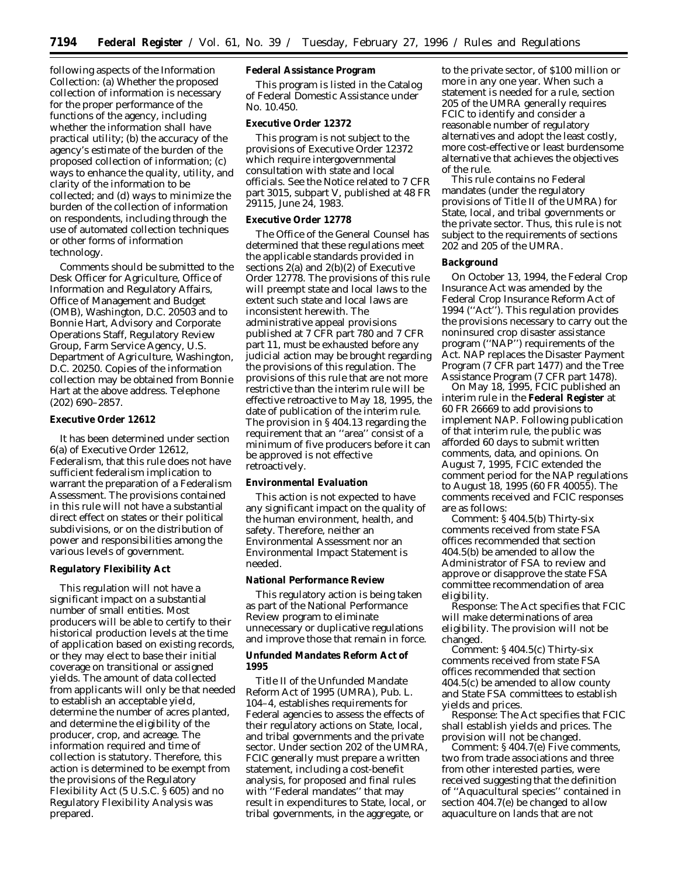following aspects of the Information Collection: (a) Whether the proposed collection of information is necessary for the proper performance of the functions of the agency, including whether the information shall have practical utility; (b) the accuracy of the agency's estimate of the burden of the proposed collection of information; (c) ways to enhance the quality, utility, and clarity of the information to be collected; and (d) ways to minimize the burden of the collection of information on respondents, including through the use of automated collection techniques or other forms of information technology.

Comments should be submitted to the Desk Officer for Agriculture, Office of Information and Regulatory Affairs, Office of Management and Budget (OMB), Washington, D.C. 20503 and to Bonnie Hart, Advisory and Corporate Operations Staff, Regulatory Review Group, Farm Service Agency, U.S. Department of Agriculture, Washington, D.C. 20250. Copies of the information collection may be obtained from Bonnie Hart at the above address. Telephone (202) 690–2857.

## **Executive Order 12612**

It has been determined under section 6(a) of Executive Order 12612, Federalism, that this rule does not have sufficient federalism implication to warrant the preparation of a Federalism Assessment. The provisions contained in this rule will not have a substantial direct effect on states or their political subdivisions, or on the distribution of power and responsibilities among the various levels of government.

## **Regulatory Flexibility Act**

This regulation will not have a significant impact on a substantial number of small entities. Most producers will be able to certify to their historical production levels at the time of application based on existing records, or they may elect to base their initial coverage on transitional or assigned yields. The amount of data collected from applicants will only be that needed to establish an acceptable yield, determine the number of acres planted, and determine the eligibility of the producer, crop, and acreage. The information required and time of collection is statutory. Therefore, this action is determined to be exempt from the provisions of the Regulatory Flexibility Act (5 U.S.C. § 605) and no Regulatory Flexibility Analysis was prepared.

# **Federal Assistance Program**

This program is listed in the Catalog of Federal Domestic Assistance under No. 10.450.

# **Executive Order 12372**

This program is not subject to the provisions of Executive Order 12372 which require intergovernmental consultation with state and local officials. See the Notice related to 7 CFR part 3015, subpart V, published at 48 FR 29115, June 24, 1983.

#### **Executive Order 12778**

The Office of the General Counsel has determined that these regulations meet the applicable standards provided in sections 2(a) and 2(b)(2) of Executive Order 12778. The provisions of this rule will preempt state and local laws to the extent such state and local laws are inconsistent herewith. The administrative appeal provisions published at 7 CFR part 780 and 7 CFR part 11, must be exhausted before any judicial action may be brought regarding the provisions of this regulation. The provisions of this rule that are not more restrictive than the interim rule will be effective retroactive to May 18, 1995, the date of publication of the interim rule. The provision in § 404.13 regarding the requirement that an ''area'' consist of a minimum of five producers before it can be approved is not effective retroactively.

# **Environmental Evaluation**

This action is not expected to have any significant impact on the quality of the human environment, health, and safety. Therefore, neither an Environmental Assessment nor an Environmental Impact Statement is needed.

# **National Performance Review**

This regulatory action is being taken as part of the National Performance Review program to eliminate unnecessary or duplicative regulations and improve those that remain in force.

**Unfunded Mandates Reform Act of 1995**

Title II of the Unfunded Mandate Reform Act of 1995 (UMRA), Pub. L. 104–4, establishes requirements for Federal agencies to assess the effects of their regulatory actions on State, local, and tribal governments and the private sector. Under section 202 of the UMRA, FCIC generally must prepare a written statement, including a cost-benefit analysis, for proposed and final rules with ''Federal mandates'' that may result in expenditures to State, local, or tribal governments, in the aggregate, or

to the private sector, of \$100 million or more in any one year. When such a statement is needed for a rule, section 205 of the UMRA generally requires FCIC to identify and consider a reasonable number of regulatory alternatives and adopt the least costly, more cost-effective or least burdensome alternative that achieves the objectives of the rule.

This rule contains no Federal mandates (under the regulatory provisions of Title II of the UMRA) for State, local, and tribal governments or the private sector. Thus, this rule is not subject to the requirements of sections 202 and 205 of the UMRA.

# **Background**

On October 13, 1994, the Federal Crop Insurance Act was amended by the Federal Crop Insurance Reform Act of 1994 (''Act''). This regulation provides the provisions necessary to carry out the noninsured crop disaster assistance program (''NAP'') requirements of the Act. NAP replaces the Disaster Payment Program (7 CFR part 1477) and the Tree Assistance Program (7 CFR part 1478).

On May 18, 1995, FCIC published an interim rule in the **Federal Register** at 60 FR 26669 to add provisions to implement NAP. Following publication of that interim rule, the public was afforded 60 days to submit written comments, data, and opinions. On August 7, 1995, FCIC extended the comment period for the NAP regulations to August 18, 1995 (60 FR 40055). The comments received and FCIC responses are as follows:

*Comment:* § 404.5(b) Thirty-six comments received from state FSA offices recommended that section 404.5(b) be amended to allow the Administrator of FSA to review and approve or disapprove the state FSA committee recommendation of area eligibility.

*Response:* The Act specifies that FCIC will make determinations of area eligibility. The provision will not be changed.

*Comment:* § 404.5(c) Thirty-six comments received from state FSA offices recommended that section 404.5(c) be amended to allow county and State FSA committees to establish yields and prices.

*Response:* The Act specifies that FCIC shall establish yields and prices. The provision will not be changed.

*Comment:* § 404.7(e) Five comments, two from trade associations and three from other interested parties, were received suggesting that the definition of ''Aquacultural species'' contained in section 404.7(e) be changed to allow aquaculture on lands that are not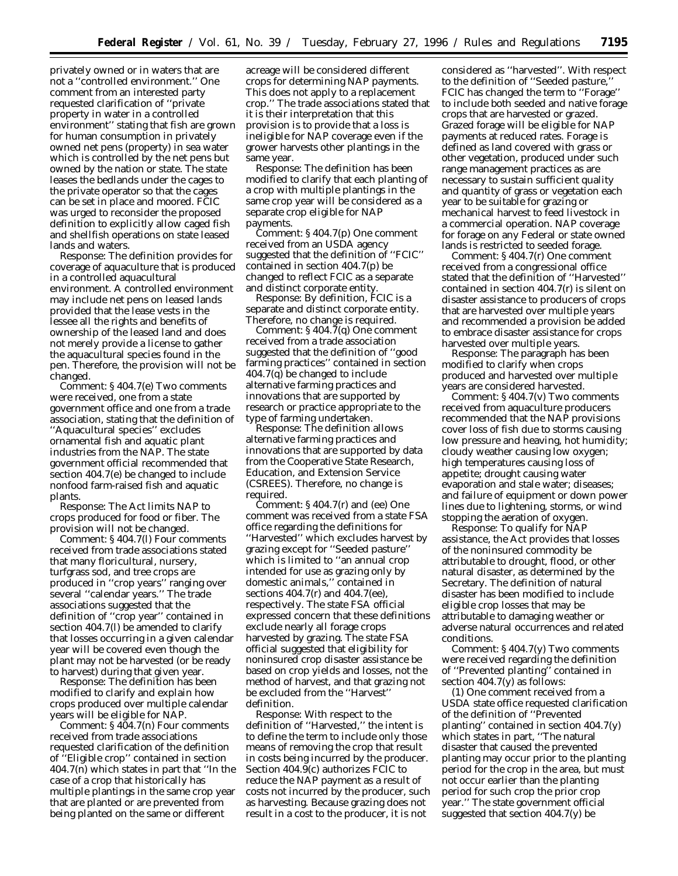privately owned or in waters that are not a ''controlled environment.'' One comment from an interested party requested clarification of ''private property in water in a controlled environment'' stating that fish are grown for human consumption in privately owned net pens (property) in sea water which is controlled by the net pens but owned by the nation or state. The state leases the bedlands under the cages to the private operator so that the cages can be set in place and moored. FCIC was urged to reconsider the proposed definition to explicitly allow caged fish and shellfish operations on state leased lands and waters.

*Response:* The definition provides for coverage of aquaculture that is produced in a controlled aquacultural environment. A controlled environment may include net pens on leased lands provided that the lease vests in the lessee all the rights and benefits of ownership of the leased land and does not merely provide a license to gather the aquacultural species found in the pen. Therefore, the provision will not be changed.

*Comment:* § 404.7(e) Two comments were received, one from a state government office and one from a trade association, stating that the definition of ''Aquacultural species'' excludes ornamental fish and aquatic plant industries from the NAP. The state government official recommended that section 404.7(e) be changed to include nonfood farm-raised fish and aquatic plants.

*Response:* The Act limits NAP to crops produced for food or fiber. The provision will not be changed.

*Comment:* § 404.7(l) Four comments received from trade associations stated that many floricultural, nursery, turfgrass sod, and tree crops are produced in ''crop years'' ranging over several ''calendar years.'' The trade associations suggested that the definition of ''crop year'' contained in section 404.7(l) be amended to clarify that losses occurring in a given calendar year will be covered even though the plant may not be harvested (or be ready to harvest) during that given year.

*Response:* The definition has been modified to clarify and explain how crops produced over multiple calendar years will be eligible for NAP.

*Comment:* § 404.7(n) Four comments received from trade associations requested clarification of the definition of ''Eligible crop'' contained in section 404.7(n) which states in part that ''In the case of a crop that historically has multiple plantings in the same crop year that are planted or are prevented from being planted on the same or different

acreage will be considered different crops for determining NAP payments. This does not apply to a replacement crop.'' The trade associations stated that it is their interpretation that this provision is to provide that a loss is ineligible for NAP coverage even if the grower harvests other plantings in the same year.

*Response:* The definition has been modified to clarify that each planting of a crop with multiple plantings in the same crop year will be considered as a separate crop eligible for NAP payments.

*Comment:* § 404.7(p) One comment received from an USDA agency suggested that the definition of ''FCIC'' contained in section 404.7(p) be changed to reflect FCIC as a separate and distinct corporate entity.

*Response:* By definition, FCIC is a separate and distinct corporate entity. Therefore, no change is required.

*Comment:* § 404.7(q) One comment received from a trade association suggested that the definition of ''good farming practices'' contained in section 404.7(q) be changed to include alternative farming practices and innovations that are supported by research or practice appropriate to the type of farming undertaken.

*Response:* The definition allows alternative farming practices and innovations that are supported by data from the Cooperative State Research, Education, and Extension Service (CSREES). Therefore, no change is required.

*Comment:* § 404.7(r) and (ee) One comment was received from a state FSA office regarding the definitions for ''Harvested'' which excludes harvest by grazing except for ''Seeded pasture'' which is limited to ''an annual crop intended for use as grazing only by domestic animals,'' contained in sections 404.7(r) and 404.7(ee), respectively. The state FSA official expressed concern that these definitions exclude nearly all forage crops harvested by grazing. The state FSA official suggested that eligibility for noninsured crop disaster assistance be based on crop yields and losses, not the method of harvest, and that grazing not be excluded from the ''Harvest'' definition.

*Response:* With respect to the definition of ''Harvested,'' the intent is to define the term to include only those means of removing the crop that result in costs being incurred by the producer. Section 404.9(c) authorizes FCIC to reduce the NAP payment as a result of costs not incurred by the producer, such as harvesting. Because grazing does not result in a cost to the producer, it is not

considered as ''harvested''. With respect to the definition of ''Seeded pasture,'' FCIC has changed the term to ''Forage'' to include both seeded and native forage crops that are harvested or grazed. Grazed forage will be eligible for NAP payments at reduced rates. Forage is defined as land covered with grass or other vegetation, produced under such range management practices as are necessary to sustain sufficient quality and quantity of grass or vegetation each year to be suitable for grazing or mechanical harvest to feed livestock in a commercial operation. NAP coverage for forage on any Federal or state owned lands is restricted to seeded forage.

*Comment:* § 404.7(r) One comment received from a congressional office stated that the definition of ''Harvested'' contained in section 404.7(r) is silent on disaster assistance to producers of crops that are harvested over multiple years and recommended a provision be added to embrace disaster assistance for crops harvested over multiple years.

*Response:* The paragraph has been modified to clarify when crops produced and harvested over multiple years are considered harvested.

*Comment:* § 404.7(v) Two comments received from aquaculture producers recommended that the NAP provisions cover loss of fish due to storms causing low pressure and heaving, hot humidity; cloudy weather causing low oxygen; high temperatures causing loss of appetite; drought causing water evaporation and stale water; diseases; and failure of equipment or down power lines due to lightening, storms, or wind stopping the aeration of oxygen.

*Response:* To qualify for NAP assistance, the Act provides that losses of the noninsured commodity be attributable to drought, flood, or other natural disaster, as determined by the Secretary. The definition of natural disaster has been modified to include eligible crop losses that may be attributable to damaging weather or adverse natural occurrences and related conditions.

*Comment:* § 404.7(y) Two comments were received regarding the definition of ''Prevented planting'' contained in section 404.7(y) as follows:

(1) One comment received from a USDA state office requested clarification of the definition of ''Prevented planting'' contained in section 404.7(y) which states in part, ''The natural disaster that caused the prevented planting may occur prior to the planting period for the crop in the area, but must not occur earlier than the planting period for such crop the prior crop year.'' The state government official suggested that section 404.7(y) be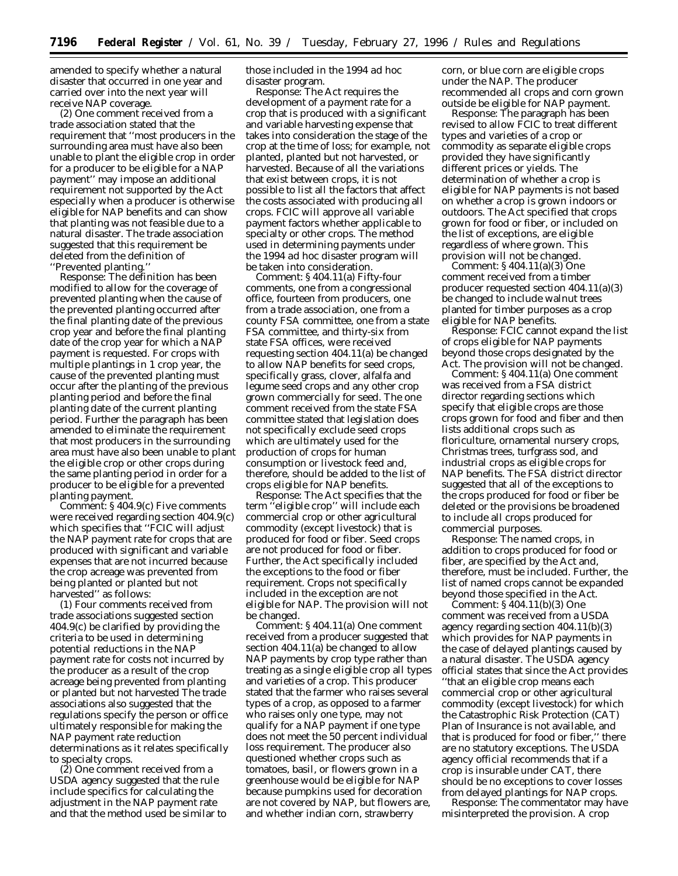amended to specify whether a natural disaster that occurred in one year and carried over into the next year will receive NAP coverage.

(2) One comment received from a trade association stated that the requirement that ''most producers in the surrounding area must have also been unable to plant the eligible crop in order for a producer to be eligible for a NAP payment'' may impose an additional requirement not supported by the Act especially when a producer is otherwise eligible for NAP benefits and can show that planting was not feasible due to a natural disaster. The trade association suggested that this requirement be deleted from the definition of ''Prevented planting.''

*Response:* The definition has been modified to allow for the coverage of prevented planting when the cause of the prevented planting occurred after the final planting date of the previous crop year and before the final planting date of the crop year for which a NAP payment is requested. For crops with multiple plantings in 1 crop year, the cause of the prevented planting must occur after the planting of the previous planting period and before the final planting date of the current planting period. Further the paragraph has been amended to eliminate the requirement that most producers in the surrounding area must have also been unable to plant the eligible crop or other crops during the same planting period in order for a producer to be eligible for a prevented planting payment.

*Comment:* § 404.9(c) Five comments were received regarding section 404.9(c) which specifies that ''FCIC will adjust the NAP payment rate for crops that are produced with significant and variable expenses that are not incurred because the crop acreage was prevented from being planted or planted but not harvested'' as follows:

(1) Four comments received from trade associations suggested section 404.9(c) be clarified by providing the criteria to be used in determining potential reductions in the NAP payment rate for costs not incurred by the producer as a result of the crop acreage being prevented from planting or planted but not harvested The trade associations also suggested that the regulations specify the person or office ultimately responsible for making the NAP payment rate reduction determinations as it relates specifically to specialty crops.

(2) One comment received from a USDA agency suggested that the rule include specifics for calculating the adjustment in the NAP payment rate and that the method used be similar to those included in the 1994 *ad hoc* disaster program.

*Response:* The Act requires the development of a payment rate for a crop that is produced with a significant and variable harvesting expense that takes into consideration the stage of the crop at the time of loss; for example, not planted, planted but not harvested, or harvested. Because of all the variations that exist between crops, it is not possible to list all the factors that affect the costs associated with producing all crops. FCIC will approve all variable payment factors whether applicable to specialty or other crops. The method used in determining payments under the 1994 *ad hoc* disaster program will be taken into consideration.

*Comment:* § 404.11(a) Fifty-four comments, one from a congressional office, fourteen from producers, one from a trade association, one from a county FSA committee, one from a state FSA committee, and thirty-six from state FSA offices, were received requesting section 404.11(a) be changed to allow NAP benefits for seed crops, specifically grass, clover, alfalfa and legume seed crops and any other crop grown commercially for seed. The one comment received from the state FSA committee stated that legislation does not specifically exclude seed crops which are ultimately used for the production of crops for human consumption or livestock feed and, therefore, should be added to the list of crops eligible for NAP benefits.

*Response:* The Act specifies that the term ''eligible crop'' will include each commercial crop or other agricultural commodity (except livestock) that is produced for food or fiber. Seed crops are not produced for food or fiber. Further, the Act specifically included the exceptions to the food or fiber requirement. Crops not specifically included in the exception are not eligible for NAP. The provision will not be changed.

*Comment:* § 404.11(a) One comment received from a producer suggested that section 404.11(a) be changed to allow NAP payments by crop type rather than treating as a single eligible crop all types and varieties of a crop. This producer stated that the farmer who raises several types of a crop, as opposed to a farmer who raises only one type, may not qualify for a NAP payment if one type does not meet the 50 percent individual loss requirement. The producer also questioned whether crops such as tomatoes, basil, or flowers grown in a greenhouse would be eligible for NAP because pumpkins used for decoration are not covered by NAP, but flowers are, and whether indian corn, strawberry

corn, or blue corn are eligible crops under the NAP. The producer recommended all crops and corn grown outside be eligible for NAP payment.

*Response:* The paragraph has been revised to allow FCIC to treat different types and varieties of a crop or commodity as separate eligible crops provided they have significantly different prices or yields. The determination of whether a crop is eligible for NAP payments is not based on whether a crop is grown indoors or outdoors. The Act specified that crops grown for food or fiber, or included on the list of exceptions, are eligible regardless of where grown. This provision will not be changed.

*Comment:* § 404.11(a)(3) One comment received from a timber producer requested section 404.11(a)(3) be changed to include walnut trees planted for timber purposes as a crop eligible for NAP benefits.

*Response:* FCIC cannot expand the list of crops eligible for NAP payments beyond those crops designated by the Act. The provision will not be changed.

*Comment:* § 404.11(a) One comment was received from a FSA district director regarding sections which specify that eligible crops are those crops grown for food and fiber and then lists additional crops such as floriculture, ornamental nursery crops, Christmas trees, turfgrass sod, and industrial crops as eligible crops for NAP benefits. The FSA district director suggested that all of the exceptions to the crops produced for food or fiber be deleted or the provisions be broadened to include all crops produced for commercial purposes.

*Response:* The named crops, in addition to crops produced for food or fiber, are specified by the Act and, therefore, must be included. Further, the list of named crops cannot be expanded beyond those specified in the Act.

*Comment:* § 404.11(b)(3) One comment was received from a USDA agency regarding section 404.11(b)(3) which provides for NAP payments in the case of delayed plantings caused by a natural disaster. The USDA agency official states that since the Act provides ''that an eligible crop means each commercial crop or other agricultural commodity (except livestock) for which the Catastrophic Risk Protection (CAT) Plan of Insurance is not available, and that is produced for food or fiber,'' there are no statutory exceptions. The USDA agency official recommends that if a crop is insurable under CAT, there should be no exceptions to cover losses from delayed plantings for NAP crops.

*Response:* The commentator may have misinterpreted the provision. A crop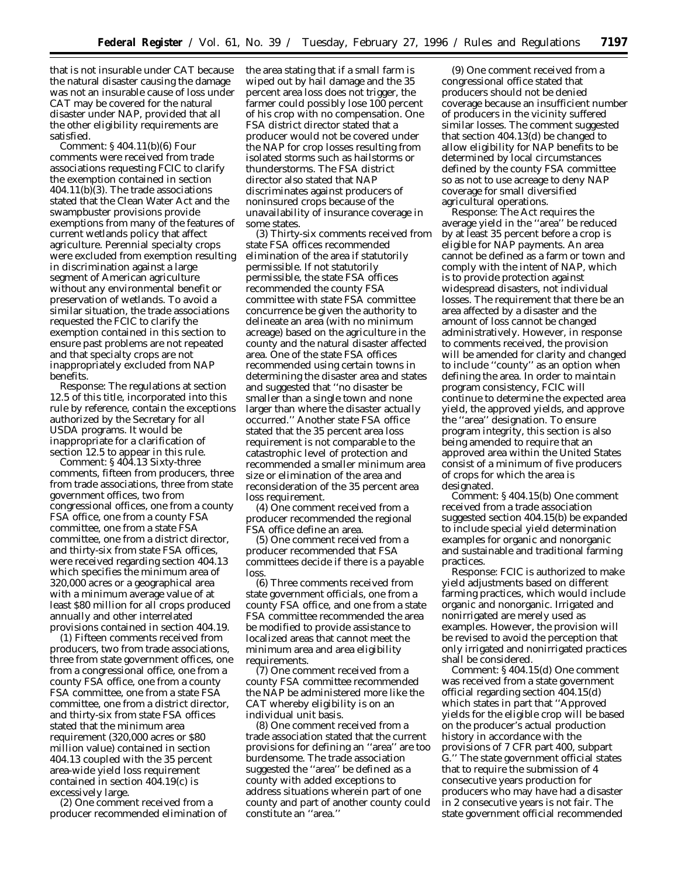that is not insurable under CAT because the natural disaster causing the damage was not an insurable cause of loss under CAT may be covered for the natural disaster under NAP, provided that all the other eligibility requirements are satisfied.

*Comment:* § 404.11(b)(6) Four comments were received from trade associations requesting FCIC to clarify the exemption contained in section 404.11(b)(3). The trade associations stated that the Clean Water Act and the swampbuster provisions provide exemptions from many of the features of current wetlands policy that affect agriculture. Perennial specialty crops were excluded from exemption resulting in discrimination against a large segment of American agriculture without any environmental benefit or preservation of wetlands. To avoid a similar situation, the trade associations requested the FCIC to clarify the exemption contained in this section to ensure past problems are not repeated and that specialty crops are not inappropriately excluded from NAP benefits.

*Response:* The regulations at section 12.5 of this title, incorporated into this rule by reference, contain the exceptions authorized by the Secretary for all USDA programs. It would be inappropriate for a clarification of section 12.5 to appear in this rule.

*Comment:* § 404.13 Sixty-three comments, fifteen from producers, three from trade associations, three from state government offices, two from congressional offices, one from a county FSA office, one from a county FSA committee, one from a state FSA committee, one from a district director, and thirty-six from state FSA offices, were received regarding section 404.13 which specifies the minimum area of 320,000 acres or a geographical area with a minimum average value of at least \$80 million for all crops produced annually and other interrelated provisions contained in section 404.19.

(1) Fifteen comments received from producers, two from trade associations, three from state government offices, one from a congressional office, one from a county FSA office, one from a county FSA committee, one from a state FSA committee, one from a district director, and thirty-six from state FSA offices stated that the minimum area requirement (320,000 acres or \$80 million value) contained in section 404.13 coupled with the 35 percent area-wide yield loss requirement contained in section 404.19(c) is excessively large.

(2) One comment received from a producer recommended elimination of the area stating that if a small farm is wiped out by hail damage and the 35 percent area loss does not trigger, the farmer could possibly lose 100 percent of his crop with no compensation. One FSA district director stated that a producer would not be covered under the NAP for crop losses resulting from isolated storms such as hailstorms or thunderstorms. The FSA district director also stated that NAP discriminates against producers of noninsured crops because of the unavailability of insurance coverage in some states.

(3) Thirty-six comments received from state FSA offices recommended elimination of the area if statutorily permissible. If not statutorily permissible, the state FSA offices recommended the county FSA committee with state FSA committee concurrence be given the authority to delineate an area (with no minimum acreage) based on the agriculture in the county and the natural disaster affected area. One of the state FSA offices recommended using certain towns in determining the disaster area and states and suggested that ''no disaster be smaller than a single town and none larger than where the disaster actually occurred.'' Another state FSA office stated that the 35 percent area loss requirement is not comparable to the catastrophic level of protection and recommended a smaller minimum area size or elimination of the area and reconsideration of the 35 percent area loss requirement.

(4) One comment received from a producer recommended the regional FSA office define an area.

(5) One comment received from a producer recommended that FSA committees decide if there is a payable loss.

(6) Three comments received from state government officials, one from a county FSA office, and one from a state FSA committee recommended the area be modified to provide assistance to localized areas that cannot meet the minimum area and area eligibility requirements.

(7) One comment received from a county FSA committee recommended the NAP be administered more like the CAT whereby eligibility is on an individual unit basis.

(8) One comment received from a trade association stated that the current provisions for defining an ''area'' are too burdensome. The trade association suggested the ''area'' be defined as a county with added exceptions to address situations wherein part of one county and part of another county could constitute an ''area.''

(9) One comment received from a congressional office stated that producers should not be denied coverage because an insufficient number of producers in the vicinity suffered similar losses. The comment suggested that section 404.13(d) be changed to allow eligibility for NAP benefits to be determined by local circumstances defined by the county FSA committee so as not to use acreage to deny NAP coverage for small diversified agricultural operations.

*Response:* The Act requires the average yield in the ''area'' be reduced by at least 35 percent before a crop is eligible for NAP payments. An area cannot be defined as a farm or town and comply with the intent of NAP, which is to provide protection against widespread disasters, not individual losses. The requirement that there be an area affected by a disaster and the amount of loss cannot be changed administratively. However, in response to comments received, the provision will be amended for clarity and changed to include ''county'' as an option when defining the area. In order to maintain program consistency, FCIC will continue to determine the expected area yield, the approved yields, and approve the ''area'' designation. To ensure program integrity, this section is also being amended to require that an approved area within the United States consist of a minimum of five producers of crops for which the area is designated.

*Comment:* § 404.15(b) One comment received from a trade association suggested section 404.15(b) be expanded to include special yield determination examples for organic and nonorganic and sustainable and traditional farming practices.

*Response:* FCIC is authorized to make yield adjustments based on different farming practices, which would include organic and nonorganic. Irrigated and nonirrigated are merely used as examples. However, the provision will be revised to avoid the perception that only irrigated and nonirrigated practices shall be considered.

*Comment:* § 404.15(d) One comment was received from a state government official regarding section  $\overline{404.15}$ (d) which states in part that ''Approved yields for the eligible crop will be based on the producer's actual production history in accordance with the provisions of 7 CFR part 400, subpart G.'' The state government official states that to require the submission of 4 consecutive years production for producers who may have had a disaster in 2 consecutive years is not fair. The state government official recommended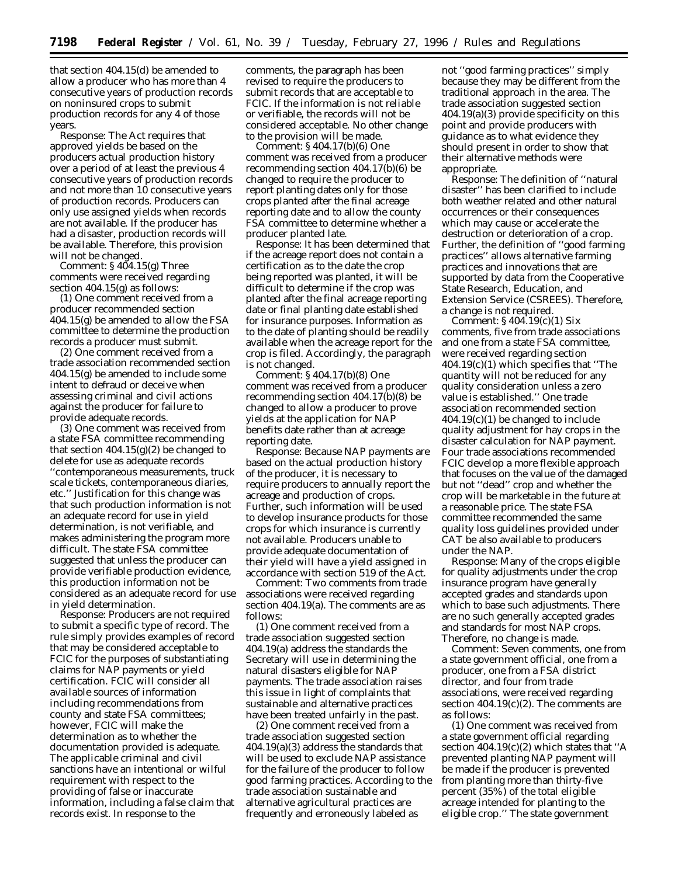that section 404.15(d) be amended to allow a producer who has more than 4 consecutive years of production records on noninsured crops to submit production records for any 4 of those years.

*Response:* The Act requires that approved yields be based on the producers actual production history over a period of at least the previous 4 consecutive years of production records and not more than 10 consecutive years of production records. Producers can only use assigned yields when records are not available. If the producer has had a disaster, production records will be available. Therefore, this provision will not be changed.

*Comment:* § 404.15(g) Three comments were received regarding section 404.15(g) as follows:

(1) One comment received from a producer recommended section 404.15(g) be amended to allow the FSA committee to determine the production records a producer must submit.

(2) One comment received from a trade association recommended section 404.15(g) be amended to include some intent to defraud or deceive when assessing criminal and civil actions against the producer for failure to provide adequate records.

(3) One comment was received from a state FSA committee recommending that section  $404.15(g)(2)$  be changed to delete for use as adequate records ''contemporaneous measurements, truck scale tickets, contemporaneous diaries, etc.'' Justification for this change was that such production information is not an adequate record for use in yield determination, is not verifiable, and makes administering the program more difficult. The state FSA committee suggested that unless the producer can provide verifiable production evidence, this production information not be considered as an adequate record for use in yield determination.

*Response:* Producers are not required to submit a specific type of record. The rule simply provides examples of record that may be considered acceptable to FCIC for the purposes of substantiating claims for NAP payments or yield certification. FCIC will consider all available sources of information including recommendations from county and state FSA committees; however, FCIC will make the determination as to whether the documentation provided is adequate. The applicable criminal and civil sanctions have an intentional or wilful requirement with respect to the providing of false or inaccurate information, including a false claim that records exist. In response to the

comments, the paragraph has been revised to require the producers to submit records that are acceptable to FCIC. If the information is not reliable or verifiable, the records will not be considered acceptable. No other change to the provision will be made.

*Comment:* § 404.17(b)(6) One comment was received from a producer recommending section 404.17(b)(6) be changed to require the producer to report planting dates only for those crops planted after the final acreage reporting date and to allow the county FSA committee to determine whether a producer planted late.

*Response:* It has been determined that if the acreage report does not contain a certification as to the date the crop being reported was planted, it will be difficult to determine if the crop was planted after the final acreage reporting date or final planting date established for insurance purposes. Information as to the date of planting should be readily available when the acreage report for the crop is filed. Accordingly, the paragraph is not changed.

*Comment:* § 404.17(b)(8) One comment was received from a producer recommending section 404.17(b)(8) be changed to allow a producer to prove yields at the application for NAP benefits date rather than at acreage reporting date.

*Response:* Because NAP payments are based on the actual production history of the producer, it is necessary to require producers to annually report the acreage and production of crops. Further, such information will be used to develop insurance products for those crops for which insurance is currently not available. Producers unable to provide adequate documentation of their yield will have a yield assigned in accordance with section 519 of the Act.

Comment: Two comments from trade associations were received regarding section 404.19(a). The comments are as follows:

(1) One comment received from a trade association suggested section 404.19(a) address the standards the Secretary will use in determining the natural disasters eligible for NAP payments. The trade association raises this issue in light of complaints that sustainable and alternative practices have been treated unfairly in the past.

(2) One comment received from a trade association suggested section 404.19(a)(3) address the standards that will be used to exclude NAP assistance for the failure of the producer to follow good farming practices. According to the trade association sustainable and alternative agricultural practices are frequently and erroneously labeled as

not ''good farming practices'' simply because they may be different from the traditional approach in the area. The trade association suggested section 404.19(a)(3) provide specificity on this point and provide producers with guidance as to what evidence they should present in order to show that their alternative methods were appropriate.

*Response:* The definition of ''natural disaster'' has been clarified to include both weather related and other natural occurrences or their consequences which may cause or accelerate the destruction or deterioration of a crop. Further, the definition of ''good farming practices'' allows alternative farming practices and innovations that are supported by data from the Cooperative State Research, Education, and Extension Service (CSREES). Therefore, a change is not required.

*Comment:* § 404.19(c)(1) Six comments, five from trade associations and one from a state FSA committee, were received regarding section 404.19(c)(1) which specifies that ''The quantity will not be reduced for any quality consideration unless a zero value is established.'' One trade association recommended section  $404.19(c)(1)$  be changed to include quality adjustment for hay crops in the disaster calculation for NAP payment. Four trade associations recommended FCIC develop a more flexible approach that focuses on the value of the damaged but not ''dead'' crop and whether the crop will be marketable in the future at a reasonable price. The state FSA committee recommended the same quality loss guidelines provided under CAT be also available to producers under the NAP.

*Response:* Many of the crops eligible for quality adjustments under the crop insurance program have generally accepted grades and standards upon which to base such adjustments. There are no such generally accepted grades and standards for most NAP crops. Therefore, no change is made.

*Comment:* Seven comments, one from a state government official, one from a producer, one from a FSA district director, and four from trade associations, were received regarding section 404.19(c)(2). The comments are as follows:

(1) One comment was received from a state government official regarding section 404.19(c)(2) which states that ''A prevented planting NAP payment will be made if the producer is prevented from planting more than thirty-five percent (35%) of the total eligible acreage intended for planting to the eligible crop.'' The state government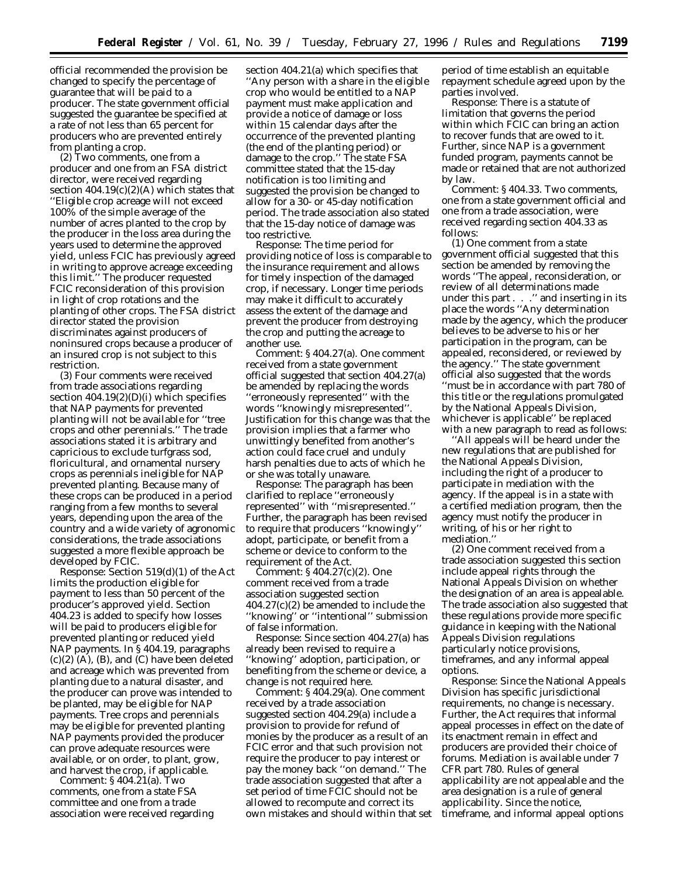official recommended the provision be changed to specify the percentage of guarantee that will be paid to a producer. The state government official suggested the guarantee be specified at a rate of not less than 65 percent for producers who are prevented entirely from planting a crop.

(2) Two comments, one from a producer and one from an FSA district director, were received regarding section  $404.19(c)(2)(A)$  which states that ''Eligible crop acreage will not exceed 100% of the simple average of the number of acres planted to the crop by the producer in the loss area during the years used to determine the approved yield, unless FCIC has previously agreed in writing to approve acreage exceeding this limit.'' The producer requested FCIC reconsideration of this provision in light of crop rotations and the planting of other crops. The FSA district director stated the provision discriminates against producers of noninsured crops because a producer of an insured crop is not subject to this restriction.

(3) Four comments were received from trade associations regarding section 404.19(2)(D)(i) which specifies that NAP payments for prevented planting will not be available for ''tree crops and other perennials.'' The trade associations stated it is arbitrary and capricious to exclude turfgrass sod, floricultural, and ornamental nursery crops as perennials ineligible for NAP prevented planting. Because many of these crops can be produced in a period ranging from a few months to several years, depending upon the area of the country and a wide variety of agronomic considerations, the trade associations suggested a more flexible approach be developed by FCIC.

*Response:* Section 519(d)(1) of the Act limits the production eligible for payment to less than 50 percent of the producer's approved yield. Section 404.23 is added to specify how losses will be paid to producers eligible for prevented planting or reduced yield NAP payments. In § 404.19, paragraphs  $(c)(2)$  (A), (B), and (C) have been deleted and acreage which was prevented from planting due to a natural disaster, and the producer can prove was intended to be planted, may be eligible for NAP payments. Tree crops and perennials may be eligible for prevented planting NAP payments provided the producer can prove adequate resources were available, or on order, to plant, grow, and harvest the crop, if applicable.

*Comment:* § 404.21(a). Two comments, one from a state FSA committee and one from a trade association were received regarding

section 404.21(a) which specifies that ''Any person with a share in the eligible crop who would be entitled to a NAP payment must make application and provide a notice of damage or loss within 15 calendar days after the occurrence of the prevented planting (the end of the planting period) or damage to the crop.'' The state FSA committee stated that the 15-day notification is too limiting and suggested the provision be changed to allow for a 30- or 45-day notification period. The trade association also stated that the 15-day notice of damage was too restrictive.

*Response:* The time period for providing notice of loss is comparable to the insurance requirement and allows for timely inspection of the damaged crop, if necessary. Longer time periods may make it difficult to accurately assess the extent of the damage and prevent the producer from destroying the crop and putting the acreage to another use.

*Comment:* § 404.27(a). One comment received from a state government official suggested that section 404.27(a) be amended by replacing the words ''erroneously represented'' with the words ''knowingly misrepresented''. Justification for this change was that the provision implies that a farmer who unwittingly benefited from another's action could face cruel and unduly harsh penalties due to acts of which he or she was totally unaware.

*Response:* The paragraph has been clarified to replace ''erroneously represented'' with ''misrepresented.'' Further, the paragraph has been revised to require that producers ''knowingly'' adopt, participate, or benefit from a scheme or device to conform to the requirement of the Act.

*Comment:* § 404.27(c)(2). One comment received from a trade association suggested section 404.27(c)(2) be amended to include the ''knowing'' or ''intentional'' submission of false information.

*Response:* Since section 404.27(a) has already been revised to require a ''knowing'' adoption, participation, or benefiting from the scheme or device, a change is not required here.

*Comment:* § 404.29(a). One comment received by a trade association suggested section 404.29(a) include a provision to provide for refund of monies by the producer as a result of an FCIC error and that such provision not require the producer to pay interest or pay the money back ''on demand.'' The trade association suggested that after a set period of time FCIC should not be allowed to recompute and correct its own mistakes and should within that set

period of time establish an equitable repayment schedule agreed upon by the parties involved.

*Response:* There is a statute of limitation that governs the period within which FCIC can bring an action to recover funds that are owed to it. Further, since NAP is a government funded program, payments cannot be made or retained that are not authorized by law.

*Comment:* § 404.33. Two comments, one from a state government official and one from a trade association, were received regarding section 404.33 as follows:

(1) One comment from a state government official suggested that this section be amended by removing the words ''The appeal, reconsideration, or review of all determinations made under this part . . .'' and inserting in its place the words ''Any determination made by the agency, which the producer believes to be adverse to his or her participation in the program, can be appealed, reconsidered, or reviewed by the agency.'' The state government official also suggested that the words ''must be in accordance with part 780 of this title or the regulations promulgated by the National Appeals Division, whichever is applicable'' be replaced with a new paragraph to read as follows:

''All appeals will be heard under the new regulations that are published for the National Appeals Division, including the right of a producer to participate in mediation with the agency. If the appeal is in a state with a certified mediation program, then the agency must notify the producer in writing, of his or her right to mediation.''

(2) One comment received from a trade association suggested this section include appeal rights through the National Appeals Division on whether the designation of an area is appealable. The trade association also suggested that these regulations provide more specific guidance in keeping with the National Appeals Division regulations particularly notice provisions, timeframes, and any informal appeal options.

*Response:* Since the National Appeals Division has specific jurisdictional requirements, no change is necessary. Further, the Act requires that informal appeal processes in effect on the date of its enactment remain in effect and producers are provided their choice of forums. Mediation is available under 7 CFR part 780. Rules of general applicability are not appealable and the area designation is a rule of general applicability. Since the notice, timeframe, and informal appeal options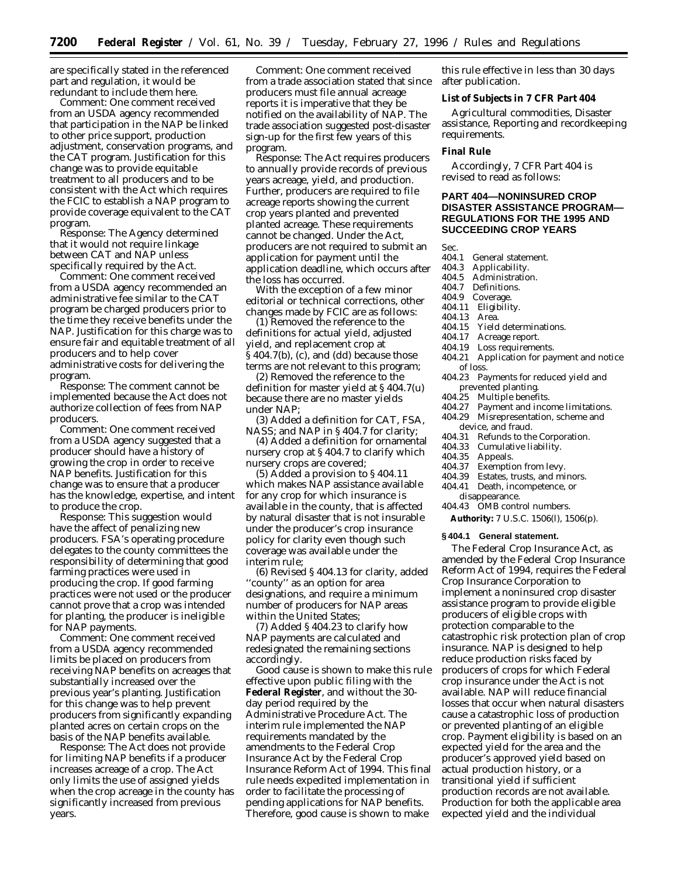are specifically stated in the referenced part and regulation, it would be redundant to include them here.

*Comment:* One comment received from an USDA agency recommended that participation in the NAP be linked to other price support, production adjustment, conservation programs, and the CAT program. Justification for this change was to provide equitable treatment to all producers and to be consistent with the Act which requires the FCIC to establish a NAP program to provide coverage equivalent to the CAT program.

*Response:* The Agency determined that it would not require linkage between CAT and NAP unless specifically required by the Act.

*Comment:* One comment received from a USDA agency recommended an administrative fee similar to the CAT program be charged producers prior to the time they receive benefits under the NAP. Justification for this charge was to ensure fair and equitable treatment of all producers and to help cover administrative costs for delivering the program.

*Response:* The comment cannot be implemented because the Act does not authorize collection of fees from NAP producers.

*Comment:* One comment received from a USDA agency suggested that a producer should have a history of growing the crop in order to receive NAP benefits. Justification for this change was to ensure that a producer has the knowledge, expertise, and intent to produce the crop.

*Response:* This suggestion would have the affect of penalizing new producers. FSA's operating procedure delegates to the county committees the responsibility of determining that good farming practices were used in producing the crop. If good farming practices were not used or the producer cannot prove that a crop was intended for planting, the producer is ineligible for NAP payments.

*Comment:* One comment received from a USDA agency recommended limits be placed on producers from receiving NAP benefits on acreages that substantially increased over the previous year's planting. Justification for this change was to help prevent producers from significantly expanding planted acres on certain crops on the basis of the NAP benefits available.

*Response:* The Act does not provide for limiting NAP benefits if a producer increases acreage of a crop. The Act only limits the use of assigned yields when the crop acreage in the county has significantly increased from previous years.

*Comment:* One comment received from a trade association stated that since producers must file annual acreage reports it is imperative that they be notified on the availability of NAP. The trade association suggested post-disaster sign-up for the first few years of this program.

*Response:* The Act requires producers to annually provide records of previous years acreage, yield, and production. Further, producers are required to file acreage reports showing the current crop years planted and prevented planted acreage. These requirements cannot be changed. Under the Act, producers are not required to submit an application for payment until the application deadline, which occurs after the loss has occurred.

With the exception of a few minor editorial or technical corrections, other changes made by FCIC are as follows:

(1) Removed the reference to the definitions for actual yield, adjusted yield, and replacement crop at § 404.7(b), (c), and (dd) because those terms are not relevant to this program;

(2) Removed the reference to the definition for master yield at § 404.7(u) because there are no master yields under NAP;

(3) Added a definition for CAT, FSA, NASS; and NAP in § 404.7 for clarity;

(4) Added a definition for ornamental nursery crop at § 404.7 to clarify which nursery crops are covered;

(5) Added a provision to § 404.11 which makes NAP assistance available for any crop for which insurance is available in the county, that is affected by natural disaster that is not insurable under the producer's crop insurance policy for clarity even though such coverage was available under the interim rule;

(6) Revised § 404.13 for clarity, added 'county'' as an option for area designations, and require a minimum number of producers for NAP areas within the United States;

(7) Added § 404.23 to clarify how NAP payments are calculated and redesignated the remaining sections accordingly.

Good cause is shown to make this rule effective upon public filing with the **Federal Register**, and without the 30 day period required by the Administrative Procedure Act. The interim rule implemented the NAP requirements mandated by the amendments to the Federal Crop Insurance Act by the Federal Crop Insurance Reform Act of 1994. This final rule needs expedited implementation in order to facilitate the processing of pending applications for NAP benefits. Therefore, good cause is shown to make

this rule effective in less than 30 days after publication.

### **List of Subjects in 7 CFR Part 404**

Agricultural commodities, Disaster assistance, Reporting and recordkeeping requirements.

# **Final Rule**

Accordingly, 7 CFR Part 404 is revised to read as follows:

# **PART 404—NONINSURED CROP DISASTER ASSISTANCE PROGRAM— REGULATIONS FOR THE 1995 AND SUCCEEDING CROP YEARS**

Sec.

- 404.1 General statement.<br>404.3 Applicability.
- 404.3 Applicability.
- 404.5 Administration.<br>404.7 Definitions
- 404.7 Definitions.<br>404.9 Coverage.
- Coverage.
- 404.11 Eligibility.
- 404.13 Area.
- Yield determinations.
- 404.17 Acreage report.
- Loss requirements.
- 404.21 Application for payment and notice of loss.
- 404.23 Payments for reduced yield and prevented planting.
- 404.25 Multiple benefits.<br>404.27 Payment and inco
- Payment and income limitations.
- 404.29 Misrepresentation, scheme and
- device, and fraud.
- 404.31 Refunds to the Corporation.<br>404.33 Cumulative liability.
- 404.33 Cumulative liability.<br>404.35 Appeals.
- 404.35 Appeals.<br>404.37 Exemption
- Exemption from levy.
- 404.39 Estates, trusts, and minors.
- 404.41 Death, incompetence, or
	- disappearance.
- 404.43 OMB control numbers.
- **Authority:** 7 U.S.C. 1506(l), 1506(p).

#### **§ 404.1 General statement.**

The Federal Crop Insurance Act, as amended by the Federal Crop Insurance Reform Act of 1994, requires the Federal Crop Insurance Corporation to implement a noninsured crop disaster assistance program to provide eligible producers of eligible crops with protection comparable to the catastrophic risk protection plan of crop insurance. NAP is designed to help reduce production risks faced by producers of crops for which Federal crop insurance under the Act is not available. NAP will reduce financial losses that occur when natural disasters cause a catastrophic loss of production or prevented planting of an eligible crop. Payment eligibility is based on an expected yield for the area and the producer's approved yield based on actual production history, or a transitional yield if sufficient production records are not available. Production for both the applicable area expected yield and the individual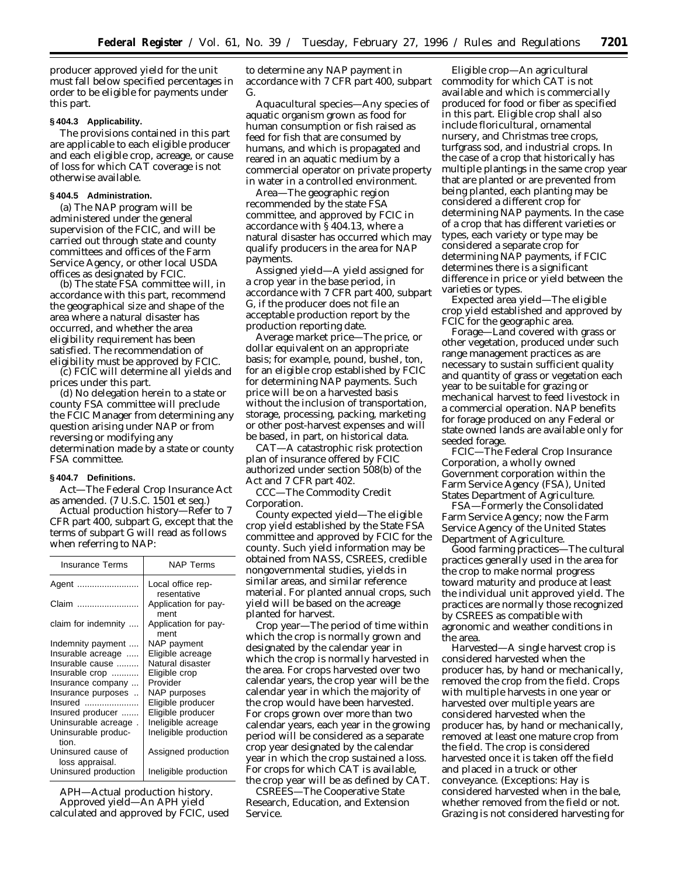producer approved yield for the unit must fall below specified percentages in order to be eligible for payments under this part.

#### **§ 404.3 Applicability.**

The provisions contained in this part are applicable to each eligible producer and each eligible crop, acreage, or cause of loss for which CAT coverage is not otherwise available.

# **§ 404.5 Administration.**

(a) The NAP program will be administered under the general supervision of the FCIC, and will be carried out through state and county committees and offices of the Farm Service Agency, or other local USDA offices as designated by FCIC.

(b) The state FSA committee will, in accordance with this part, recommend the geographical size and shape of the area where a natural disaster has occurred, and whether the area eligibility requirement has been satisfied. The recommendation of eligibility must be approved by FCIC.

(c) FCIC will determine all yields and prices under this part.

(d) No delegation herein to a state or county FSA committee will preclude the FCIC Manager from determining any question arising under NAP or from reversing or modifying any determination made by a state or county FSA committee.

# **§ 404.7 Definitions.**

Act—The Federal Crop Insurance Act as amended. (7 U.S.C. 1501 *et seq.*)

*Actual production history*—Refer to 7 CFR part 400, subpart G, except that the terms of subpart G will read as follows when referring to NAP:

| Insurance Terms                       | NAP Terms                    |
|---------------------------------------|------------------------------|
| Agent                                 | Local office rep-            |
|                                       | resentative                  |
| Claim                                 | Application for pay-<br>ment |
| claim for indemnity                   | Application for pay-<br>ment |
| Indemnity payment                     | NAP payment                  |
| Insurable acreage                     | Eligible acreage             |
| Insurable cause                       | Natural disaster             |
| Insurable crop                        | Eligible crop                |
| Insurance company                     | Provider                     |
| Insurance purposes                    | NAP purposes                 |
| Insured                               | Eligible producer            |
| Insured producer                      | Eligible producer            |
| Uninsurable acreage.                  | Ineligible acreage           |
| Uninsurable produc-<br>tion.          | Ineligible production        |
| Uninsured cause of<br>loss appraisal. | Assigned production          |
| Uninsured production                  | Ineligible production        |

*APH*—Actual production history. *Approved yield*—An APH yield calculated and approved by FCIC, used

to determine any NAP payment in accordance with 7 CFR part 400, subpart G.

*Aquacultural species*—Any species of aquatic organism grown as food for human consumption or fish raised as feed for fish that are consumed by humans, and which is propagated and reared in an aquatic medium by a commercial operator on private property in water in a controlled environment.

*Area*—The geographic region recommended by the state FSA committee, and approved by FCIC in accordance with § 404.13, where a natural disaster has occurred which may qualify producers in the area for NAP payments.

*Assigned yield*—A yield assigned for a crop year in the base period, in accordance with 7 CFR part 400, subpart G, if the producer does not file an acceptable production report by the production reporting date.

*Average market price*—The price, or dollar equivalent on an appropriate basis; for example, pound, bushel, ton, for an eligible crop established by FCIC for determining NAP payments. Such price will be on a harvested basis without the inclusion of transportation, storage, processing, packing, marketing or other post-harvest expenses and will be based, in part, on historical data.

*CAT*—A catastrophic risk protection plan of insurance offered by FCIC authorized under section 508(b) of the Act and 7 CFR part 402.

*CCC*—The Commodity Credit Corporation.

*County expected yield*—The eligible crop yield established by the State FSA committee and approved by FCIC for the county. Such yield information may be obtained from NASS, CSREES, credible nongovernmental studies, yields in similar areas, and similar reference material. For planted annual crops, such yield will be based on the acreage planted for harvest.

*Crop year*—The period of time within which the crop is normally grown and designated by the calendar year in which the crop is normally harvested in the area. For crops harvested over two calendar years, the crop year will be the calendar year in which the majority of the crop would have been harvested. For crops grown over more than two calendar years, each year in the growing period will be considered as a separate crop year designated by the calendar year in which the crop sustained a loss. For crops for which CAT is available, the crop year will be as defined by CAT.

*CSREES*—The Cooperative State Research, Education, and Extension Service.

*Eligible crop*—An agricultural commodity for which CAT is not available and which is commercially produced for food or fiber as specified in this part. Eligible crop shall also include floricultural, ornamental nursery, and Christmas tree crops, turfgrass sod, and industrial crops. In the case of a crop that historically has multiple plantings in the same crop year that are planted or are prevented from being planted, each planting may be considered a different crop for determining NAP payments. In the case of a crop that has different varieties or types, each variety or type may be considered a separate crop for determining NAP payments, if FCIC determines there is a significant difference in price or yield between the varieties or types.

*Expected area yield*—The eligible crop yield established and approved by FCIC for the geographic area.

*Forage*—Land covered with grass or other vegetation, produced under such range management practices as are necessary to sustain sufficient quality and quantity of grass or vegetation each year to be suitable for grazing or mechanical harvest to feed livestock in a commercial operation. NAP benefits for forage produced on any Federal or state owned lands are available only for seeded forage.

*FCIC*—The Federal Crop Insurance Corporation, a wholly owned Government corporation within the Farm Service Agency (FSA), United States Department of Agriculture.

*FSA*—Formerly the Consolidated Farm Service Agency; now the Farm Service Agency of the United States Department of Agriculture.

*Good farming practices*—The cultural practices generally used in the area for the crop to make normal progress toward maturity and produce at least the individual unit approved yield. The practices are normally those recognized by CSREES as compatible with agronomic and weather conditions in the area.

*Harvested*—A single harvest crop is considered harvested when the producer has, by hand or mechanically, removed the crop from the field. Crops with multiple harvests in one year or harvested over multiple years are considered harvested when the producer has, by hand or mechanically, removed at least one mature crop from the field. The crop is considered harvested once it is taken off the field and placed in a truck or other conveyance. (Exceptions: Hay is considered harvested when in the bale, whether removed from the field or not. Grazing is not considered harvesting for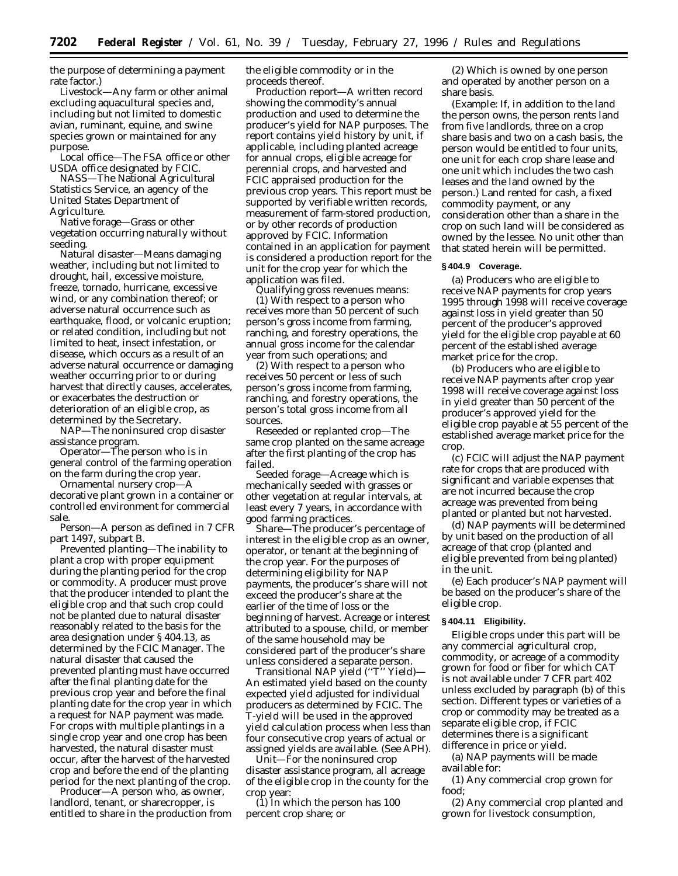the purpose of determining a payment rate factor.)

*Livestock*—Any farm or other animal excluding aquacultural species and, including but not limited to domestic avian, ruminant, equine, and swine species grown or maintained for any purpose.

*Local office*—The FSA office or other USDA office designated by FCIC.

*NASS*—The National Agricultural Statistics Service, an agency of the United States Department of Agriculture.

*Native forage*—Grass or other vegetation occurring naturally without seeding.

*Natural disaster*—Means damaging weather, including but not limited to drought, hail, excessive moisture, freeze, tornado, hurricane, excessive wind, or any combination thereof; or adverse natural occurrence such as earthquake, flood, or volcanic eruption; or related condition, including but not limited to heat, insect infestation, or disease, which occurs as a result of an adverse natural occurrence or damaging weather occurring prior to or during harvest that directly causes, accelerates, or exacerbates the destruction or deterioration of an eligible crop, as determined by the Secretary.

*NAP*—The noninsured crop disaster assistance program.

*Operator*—The person who is in general control of the farming operation on the farm during the crop year.

*Ornamental nursery crop*—A decorative plant grown in a container or controlled environment for commercial sale.

*Person*—A person as defined in 7 CFR part 1497, subpart B.

*Prevented planting*—The inability to plant a crop with proper equipment during the planting period for the crop or commodity. A producer must prove that the producer intended to plant the eligible crop and that such crop could not be planted due to natural disaster reasonably related to the basis for the area designation under § 404.13, as determined by the FCIC Manager. The natural disaster that caused the prevented planting must have occurred after the final planting date for the previous crop year and before the final planting date for the crop year in which a request for NAP payment was made. For crops with multiple plantings in a single crop year and one crop has been harvested, the natural disaster must occur, after the harvest of the harvested crop and before the end of the planting period for the next planting of the crop.

*Producer*—A person who, as owner, landlord, tenant, or sharecropper, is entitled to share in the production from the eligible commodity or in the proceeds thereof.

*Production report*—A written record showing the commodity's annual production and used to determine the producer's yield for NAP purposes. The report contains yield history by unit, if applicable, including planted acreage for annual crops, eligible acreage for perennial crops, and harvested and FCIC appraised production for the previous crop years. This report must be supported by verifiable written records, measurement of farm-stored production, or by other records of production approved by FCIC. Information contained in an application for payment is considered a production report for the unit for the crop year for which the application was filed.

*Qualifying gross revenues means:* (1) With respect to a person who receives more than 50 percent of such person's gross income from farming, ranching, and forestry operations, the annual gross income for the calendar year from such operations; and

(2) With respect to a person who receives 50 percent or less of such person's gross income from farming, ranching, and forestry operations, the person's total gross income from all sources.

*Reseeded or replanted crop*—The same crop planted on the same acreage after the first planting of the crop has failed.

*Seeded forage*—Acreage which is mechanically seeded with grasses or other vegetation at regular intervals, at least every 7 years, in accordance with good farming practices.

*Share*—The producer's percentage of interest in the eligible crop as an owner, operator, or tenant at the beginning of the crop year. For the purposes of determining eligibility for NAP payments, the producer's share will not exceed the producer's share at the earlier of the time of loss or the beginning of harvest. Acreage or interest attributed to a spouse, child, or member of the same household may be considered part of the producer's share unless considered a separate person.

*Transitional NAP yield (''T'' Yield)*— An estimated yield based on the county expected yield adjusted for individual producers as determined by FCIC. The T-yield will be used in the approved yield calculation process when less than four consecutive crop years of actual or assigned yields are available. (See APH).

*Unit*—For the noninsured crop disaster assistance program, all acreage of the eligible crop in the county for the crop year:

(1) In which the person has 100 percent crop share; or

(2) Which is owned by one person and operated by another person on a share basis.

(Example: If, in addition to the land the person owns, the person rents land from five landlords, three on a crop share basis and two on a cash basis, the person would be entitled to four units, one unit for each crop share lease and one unit which includes the two cash leases and the land owned by the person.) Land rented for cash, a fixed commodity payment, or any consideration other than a share in the crop on such land will be considered as owned by the lessee. No unit other than that stated herein will be permitted.

## **§ 404.9 Coverage.**

(a) Producers who are eligible to receive NAP payments for crop years 1995 through 1998 will receive coverage against loss in yield greater than 50 percent of the producer's approved yield for the eligible crop payable at 60 percent of the established average market price for the crop.

(b) Producers who are eligible to receive NAP payments after crop year 1998 will receive coverage against loss in yield greater than 50 percent of the producer's approved yield for the eligible crop payable at 55 percent of the established average market price for the crop.

(c) FCIC will adjust the NAP payment rate for crops that are produced with significant and variable expenses that are not incurred because the crop acreage was prevented from being planted or planted but not harvested.

(d) NAP payments will be determined by unit based on the production of all acreage of that crop (planted and eligible prevented from being planted) in the unit.

(e) Each producer's NAP payment will be based on the producer's share of the eligible crop.

# **§ 404.11 Eligibility.**

Eligible crops under this part will be any commercial agricultural crop, commodity, or acreage of a commodity grown for food or fiber for which CAT is not available under 7 CFR part 402 unless excluded by paragraph (b) of this section. Different types or varieties of a crop or commodity may be treated as a separate eligible crop, if FCIC determines there is a significant difference in price or yield.

(a) NAP payments will be made available for:

(1) Any commercial crop grown for food;

(2) Any commercial crop planted and grown for livestock consumption,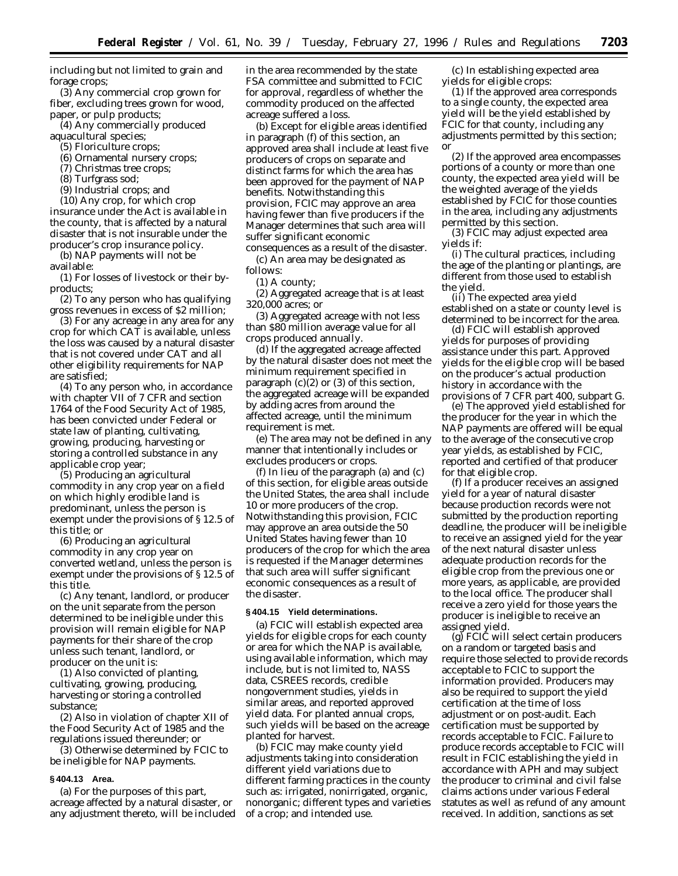including but not limited to grain and forage crops;

(3) Any commercial crop grown for fiber, excluding trees grown for wood, paper, or pulp products;

(4) Any commercially produced

aquacultural species; (5) Floriculture crops;

(6) Ornamental nursery crops;

(7) Christmas tree crops;

(8) Turfgrass sod;

(9) Industrial crops; and

(10) Any crop, for which crop insurance under the Act is available in the county, that is affected by a natural disaster that is not insurable under the producer's crop insurance policy.

(b) NAP payments will not be available:

(1) For losses of livestock or their byproducts;

(2) To any person who has qualifying gross revenues in excess of \$2 million;

(3) For any acreage in any area for any crop for which CAT is available, unless the loss was caused by a natural disaster that is not covered under CAT and all other eligibility requirements for NAP are satisfied;

(4) To any person who, in accordance with chapter VII of 7 CFR and section 1764 of the Food Security Act of 1985, has been convicted under Federal or state law of planting, cultivating, growing, producing, harvesting or storing a controlled substance in any applicable crop year;

(5) Producing an agricultural commodity in any crop year on a field on which highly erodible land is predominant, unless the person is exempt under the provisions of § 12.5 of this title; or

(6) Producing an agricultural commodity in any crop year on converted wetland, unless the person is exempt under the provisions of § 12.5 of this title.

(c) Any tenant, landlord, or producer on the unit separate from the person determined to be ineligible under this provision will remain eligible for NAP payments for their share of the crop unless such tenant, landlord, or producer on the unit is:

(1) Also convicted of planting, cultivating, growing, producing, harvesting or storing a controlled substance;

(2) Also in violation of chapter XII of the Food Security Act of 1985 and the regulations issued thereunder; or

(3) Otherwise determined by FCIC to be ineligible for NAP payments.

# **§ 404.13 Area.**

(a) For the purposes of this part, acreage affected by a natural disaster, or any adjustment thereto, will be included in the area recommended by the state FSA committee and submitted to FCIC for approval, regardless of whether the commodity produced on the affected acreage suffered a loss.

(b) Except for eligible areas identified in paragraph (f) of this section, an approved area shall include at least five producers of crops on separate and distinct farms for which the area has been approved for the payment of NAP benefits. Notwithstanding this provision, FCIC may approve an area having fewer than five producers if the Manager determines that such area will suffer significant economic consequences as a result of the disaster.

(c) An area may be designated as follows:

(1) A county;

(2) Aggregated acreage that is at least 320,000 acres; or

(3) Aggregated acreage with not less than \$80 million average value for all crops produced annually.

(d) If the aggregated acreage affected by the natural disaster does not meet the minimum requirement specified in paragraph (c)(2) or (3) of this section, the aggregated acreage will be expanded by adding acres from around the affected acreage, until the minimum requirement is met.

(e) The area may not be defined in any manner that intentionally includes or excludes producers or crops.

(f) In lieu of the paragraph (a) and (c) of this section, for eligible areas outside the United States, the area shall include 10 or more producers of the crop. Notwithstanding this provision, FCIC may approve an area outside the 50 United States having fewer than 10 producers of the crop for which the area is requested if the Manager determines that such area will suffer significant economic consequences as a result of the disaster.

# **§ 404.15 Yield determinations.**

(a) FCIC will establish expected area yields for eligible crops for each county or area for which the NAP is available, using available information, which may include, but is not limited to, NASS data, CSREES records, credible nongovernment studies, yields in similar areas, and reported approved yield data. For planted annual crops, such yields will be based on the acreage planted for harvest.

(b) FCIC may make county yield adjustments taking into consideration different yield variations due to different farming practices in the county such as: irrigated, nonirrigated, organic, nonorganic; different types and varieties of a crop; and intended use.

(c) In establishing expected area yields for eligible crops:

(1) If the approved area corresponds to a single county, the expected area yield will be the yield established by FCIC for that county, including any adjustments permitted by this section; or

(2) If the approved area encompasses portions of a county or more than one county, the expected area yield will be the weighted average of the yields established by FCIC for those counties in the area, including any adjustments permitted by this section.

(3) FCIC may adjust expected area yields if:

(i) The cultural practices, including the age of the planting or plantings, are different from those used to establish the yield.

(ii) The expected area yield established on a state or county level is determined to be incorrect for the area.

(d) FCIC will establish approved yields for purposes of providing assistance under this part. Approved yields for the eligible crop will be based on the producer's actual production history in accordance with the provisions of 7 CFR part 400, subpart G.

(e) The approved yield established for the producer for the year in which the NAP payments are offered will be equal to the average of the consecutive crop year yields, as established by FCIC, reported and certified of that producer for that eligible crop.

(f) If a producer receives an assigned yield for a year of natural disaster because production records were not submitted by the production reporting deadline, the producer will be ineligible to receive an assigned yield for the year of the next natural disaster unless adequate production records for the eligible crop from the previous one or more years, as applicable, are provided to the local office. The producer shall receive a zero yield for those years the producer is ineligible to receive an assigned yield.

(g) FCIC will select certain producers on a random or targeted basis and require those selected to provide records acceptable to FCIC to support the information provided. Producers may also be required to support the yield certification at the time of loss adjustment or on post-audit. Each certification must be supported by records acceptable to FCIC. Failure to produce records acceptable to FCIC will result in FCIC establishing the yield in accordance with APH and may subject the producer to criminal and civil false claims actions under various Federal statutes as well as refund of any amount received. In addition, sanctions as set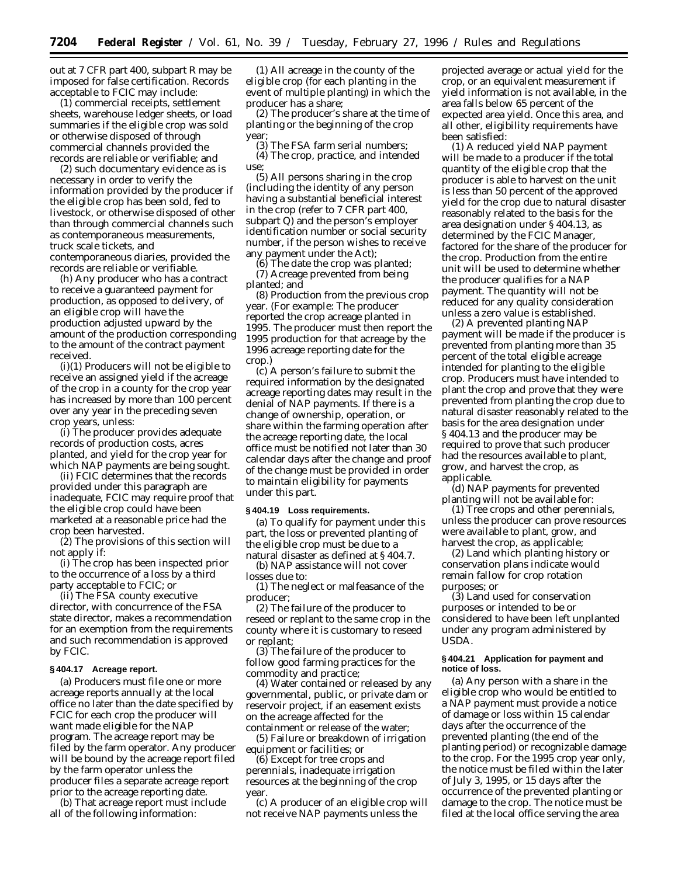out at 7 CFR part 400, subpart R may be imposed for false certification. Records acceptable to FCIC may include:

(1) commercial receipts, settlement sheets, warehouse ledger sheets, or load summaries if the eligible crop was sold or otherwise disposed of through commercial channels provided the records are reliable or verifiable; and

(2) such documentary evidence as is necessary in order to verify the information provided by the producer if the eligible crop has been sold, fed to livestock, or otherwise disposed of other than through commercial channels such as contemporaneous measurements, truck scale tickets, and contemporaneous diaries, provided the records are reliable or verifiable.

(h) Any producer who has a contract to receive a guaranteed payment for production, as opposed to delivery, of an eligible crop will have the production adjusted upward by the amount of the production corresponding to the amount of the contract payment received.

(i)(1) Producers will not be eligible to receive an assigned yield if the acreage of the crop in a county for the crop year has increased by more than 100 percent over any year in the preceding seven crop years, unless:

(i) The producer provides adequate records of production costs, acres planted, and yield for the crop year for which NAP payments are being sought.

(ii) FCIC determines that the records provided under this paragraph are inadequate, FCIC may require proof that the eligible crop could have been marketed at a reasonable price had the crop been harvested.

(2) The provisions of this section will not apply if:

(i) The crop has been inspected prior to the occurrence of a loss by a third party acceptable to FCIC; or

(ii) The FSA county executive director, with concurrence of the FSA state director, makes a recommendation for an exemption from the requirements and such recommendation is approved by FCIC.

# **§ 404.17 Acreage report.**

(a) Producers must file one or more acreage reports annually at the local office no later than the date specified by FCIC for each crop the producer will want made eligible for the NAP program. The acreage report may be filed by the farm operator. Any producer will be bound by the acreage report filed by the farm operator unless the producer files a separate acreage report prior to the acreage reporting date.

(b) That acreage report must include all of the following information:

(1) All acreage in the county of the eligible crop (for each planting in the event of multiple planting) in which the producer has a share;

(2) The producer's share at the time of planting or the beginning of the crop year;

(3) The FSA farm serial numbers;

(4) The crop, practice, and intended use;

(5) All persons sharing in the crop (including the identity of any person having a substantial beneficial interest in the crop (refer to 7 CFR part 400, subpart Q) and the person's employer identification number or social security number, if the person wishes to receive any payment under the Act);

(6) The date the crop was planted; (7) Acreage prevented from being planted; and

(8) Production from the previous crop year. (For example: The producer reported the crop acreage planted in 1995. The producer must then report the 1995 production for that acreage by the 1996 acreage reporting date for the crop.)

(c) A person's failure to submit the required information by the designated acreage reporting dates may result in the denial of NAP payments. If there is a change of ownership, operation, or share within the farming operation after the acreage reporting date, the local office must be notified not later than 30 calendar days after the change and proof of the change must be provided in order to maintain eligibility for payments under this part.

## **§ 404.19 Loss requirements.**

(a) To qualify for payment under this part, the loss or prevented planting of the eligible crop must be due to a natural disaster as defined at § 404.7.

(b) NAP assistance will not cover losses due to:

(1) The neglect or malfeasance of the producer;

(2) The failure of the producer to reseed or replant to the same crop in the county where it is customary to reseed or replant;

(3) The failure of the producer to follow good farming practices for the commodity and practice;

(4) Water contained or released by any governmental, public, or private dam or reservoir project, if an easement exists on the acreage affected for the containment or release of the water;

(5) Failure or breakdown of irrigation equipment or facilities; or

(6) Except for tree crops and perennials, inadequate irrigation resources at the beginning of the crop year.

(c) A producer of an eligible crop will not receive NAP payments unless the

projected average or actual yield for the crop, or an equivalent measurement if yield information is not available, in the area falls below 65 percent of the expected area yield. Once this area, and all other, eligibility requirements have been satisfied:

(1) A reduced yield NAP payment will be made to a producer if the total quantity of the eligible crop that the producer is able to harvest on the unit is less than 50 percent of the approved yield for the crop due to natural disaster reasonably related to the basis for the area designation under § 404.13, as determined by the FCIC Manager, factored for the share of the producer for the crop. Production from the entire unit will be used to determine whether the producer qualifies for a NAP payment. The quantity will not be reduced for any quality consideration unless a zero value is established.

(2) A prevented planting NAP payment will be made if the producer is prevented from planting more than 35 percent of the total eligible acreage intended for planting to the eligible crop. Producers must have intended to plant the crop and prove that they were prevented from planting the crop due to natural disaster reasonably related to the basis for the area designation under § 404.13 and the producer may be required to prove that such producer had the resources available to plant, grow, and harvest the crop, as applicable.

(d) NAP payments for prevented planting will not be available for:

(1) Tree crops and other perennials, unless the producer can prove resources were available to plant, grow, and harvest the crop, as applicable;

(2) Land which planting history or conservation plans indicate would remain fallow for crop rotation purposes; or

(3) Land used for conservation purposes or intended to be or considered to have been left unplanted under any program administered by USDA.

#### **§ 404.21 Application for payment and notice of loss.**

(a) Any person with a share in the eligible crop who would be entitled to a NAP payment must provide a notice of damage or loss within 15 calendar days after the occurrence of the prevented planting (the end of the planting period) or recognizable damage to the crop. For the 1995 crop year only, the notice must be filed within the later of July 3, 1995, or 15 days after the occurrence of the prevented planting or damage to the crop. The notice must be filed at the local office serving the area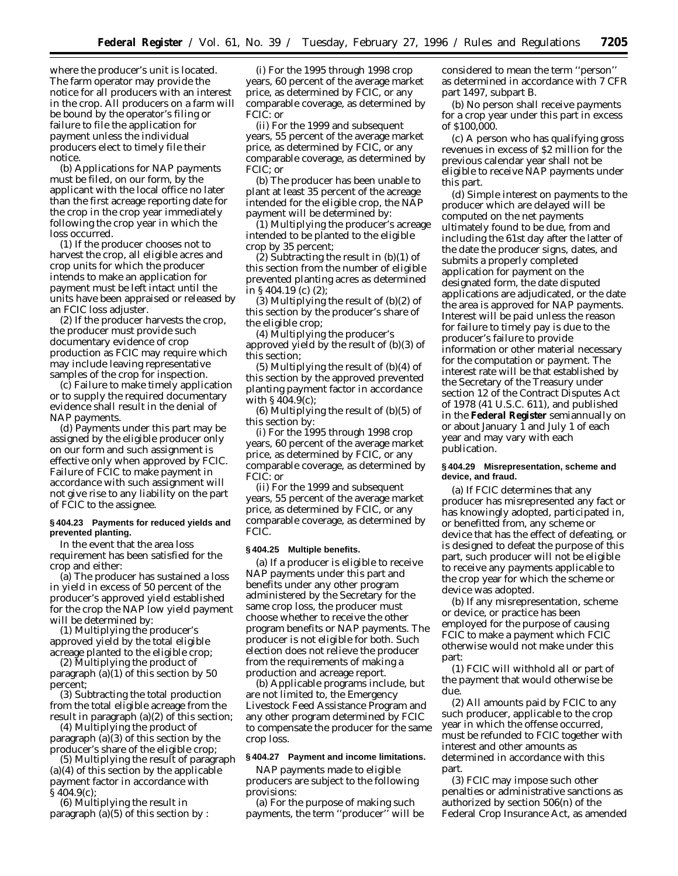where the producer's unit is located. The farm operator may provide the notice for all producers with an interest in the crop. All producers on a farm will be bound by the operator's filing or failure to file the application for payment unless the individual producers elect to timely file their notice.

(b) Applications for NAP payments must be filed, on our form, by the applicant with the local office no later than the first acreage reporting date for the crop in the crop year immediately following the crop year in which the loss occurred.

(1) If the producer chooses not to harvest the crop, all eligible acres and crop units for which the producer intends to make an application for payment must be left intact until the units have been appraised or released by an FCIC loss adjuster.

(2) If the producer harvests the crop, the producer must provide such documentary evidence of crop production as FCIC may require which may include leaving representative samples of the crop for inspection.

(c) Failure to make timely application or to supply the required documentary evidence shall result in the denial of NAP payments.

(d) Payments under this part may be assigned by the eligible producer only on our form and such assignment is effective only when approved by FCIC. Failure of FCIC to make payment in accordance with such assignment will not give rise to any liability on the part of FCIC to the assignee.

## **§ 404.23 Payments for reduced yields and prevented planting.**

In the event that the area loss requirement has been satisfied for the crop and either:

(a) The producer has sustained a loss in yield in excess of 50 percent of the producer's approved yield established for the crop the NAP low yield payment will be determined by:

(1) Multiplying the producer's approved yield by the total eligible acreage planted to the eligible crop;

(2) Multiplying the product of paragraph  $(a)(1)$  of this section by 50 percent;

(3) Subtracting the total production from the total eligible acreage from the result in paragraph (a)(2) of this section;

(4) Multiplying the product of paragraph (a)(3) of this section by the producer's share of the eligible crop;

(5) Multiplying the result of paragraph (a)(4) of this section by the applicable payment factor in accordance with § 404.9(c);

(6) Multiplying the result in paragraph  $(a)(5)$  of this section by :

(i) For the 1995 through 1998 crop years, 60 percent of the average market price, as determined by FCIC, or any comparable coverage, as determined by FCIC: or

(ii) For the 1999 and subsequent years, 55 percent of the average market price, as determined by FCIC, or any comparable coverage, as determined by FCIC; or

(b) The producer has been unable to plant at least 35 percent of the acreage intended for the eligible crop, the NAP payment will be determined by:

(1) Multiplying the producer's acreage intended to be planted to the eligible crop by 35 percent;

(2) Subtracting the result in (b)(1) of this section from the number of eligible prevented planting acres as determined in § 404.19 (c) (2);

(3) Multiplying the result of (b)(2) of this section by the producer's share of the eligible crop;

(4) Multiplying the producer's approved yield by the result of (b)(3) of this section;

(5) Multiplying the result of (b)(4) of this section by the approved prevented planting payment factor in accordance with § 404.9(c);

(6) Multiplying the result of (b)(5) of this section by:

(i) For the 1995 through 1998 crop years, 60 percent of the average market price, as determined by FCIC, or any comparable coverage, as determined by FCIC: or

(ii) For the 1999 and subsequent years, 55 percent of the average market price, as determined by FCIC, or any comparable coverage, as determined by FCIC.

#### **§ 404.25 Multiple benefits.**

(a) If a producer is eligible to receive NAP payments under this part and benefits under any other program administered by the Secretary for the same crop loss, the producer must choose whether to receive the other program benefits or NAP payments. The producer is not eligible for both. Such election does not relieve the producer from the requirements of making a production and acreage report.

(b) Applicable programs include, but are not limited to, the Emergency Livestock Feed Assistance Program and any other program determined by FCIC to compensate the producer for the same crop loss.

#### **§ 404.27 Payment and income limitations.**

NAP payments made to eligible producers are subject to the following provisions:

(a) For the purpose of making such payments, the term ''producer'' will be considered to mean the term ''person'' as determined in accordance with 7 CFR part 1497, subpart B.

(b) No person shall receive payments for a crop year under this part in excess of \$100,000.

(c) A person who has qualifying gross revenues in excess of \$2 million for the previous calendar year shall not be eligible to receive NAP payments under this part.

(d) Simple interest on payments to the producer which are delayed will be computed on the net payments ultimately found to be due, from and including the 61st day after the latter of the date the producer signs, dates, and submits a properly completed application for payment on the designated form, the date disputed applications are adjudicated, or the date the area is approved for NAP payments. Interest will be paid unless the reason for failure to timely pay is due to the producer's failure to provide information or other material necessary for the computation or payment. The interest rate will be that established by the Secretary of the Treasury under section 12 of the Contract Disputes Act of 1978 (41 U.S.C. 611), and published in the **Federal Register** semiannually on or about January 1 and July 1 of each year and may vary with each publication.

# **§ 404.29 Misrepresentation, scheme and device, and fraud.**

(a) If FCIC determines that any producer has misrepresented any fact or has knowingly adopted, participated in, or benefitted from, any scheme or device that has the effect of defeating, or is designed to defeat the purpose of this part, such producer will not be eligible to receive any payments applicable to the crop year for which the scheme or device was adopted.

(b) If any misrepresentation, scheme or device, or practice has been employed for the purpose of causing FCIC to make a payment which FCIC otherwise would not make under this part:

(1) FCIC will withhold all or part of the payment that would otherwise be due.

(2) All amounts paid by FCIC to any such producer, applicable to the crop year in which the offense occurred, must be refunded to FCIC together with interest and other amounts as determined in accordance with this part.

(3) FCIC may impose such other penalties or administrative sanctions as authorized by section 506(n) of the Federal Crop Insurance Act, as amended